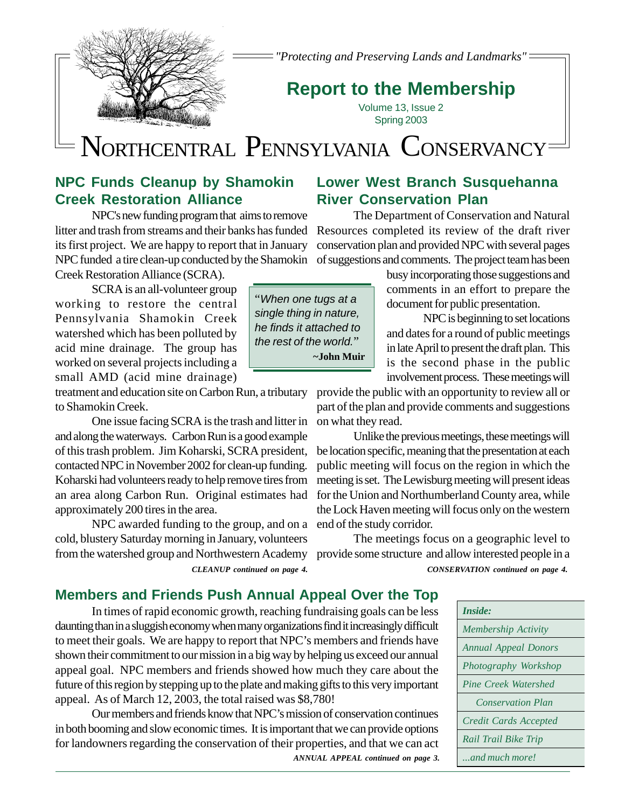

*"Protecting and Preserving Lands and Landmarks"*

# **Report to the Membership**

Volume 13, Issue 2 Spring 2003

# NORTHCENTRAL PENNSYLVANIA CONSERVANCY

### **NPC Funds Cleanup by Shamokin Creek Restoration Alliance**

NPC's new funding program that aims to remove its first project. We are happy to report that in January Creek Restoration Alliance (SCRA).

SCRA is an all-volunteer group working to restore the central Pennsylvania Shamokin Creek watershed which has been polluted by acid mine drainage. The group has worked on several projects including a small AMD (acid mine drainage)

treatment and education site on Carbon Run, a tributary to Shamokin Creek.

One issue facing SCRA is the trash and litter in and along the waterways. Carbon Run is a good example of this trash problem. Jim Koharski, SCRA president, contacted NPC in November 2002 for clean-up funding. Koharski had volunteers ready to help remove tires from an area along Carbon Run. Original estimates had approximately 200 tires in the area.

NPC awarded funding to the group, and on a end of the study corridor. from the watershed group and Northwestern Academy provide some structure and allow interested people in a cold, blustery Saturday morning in January, volunteers

### **Lower West Branch Susquehanna River Conservation Plan**

The Department of Conservation and Natural litter and trash from streams and their banks has funded Resources completed its review of the draft river conservation plan and provided NPC with several pages NPC funded a tire clean-up conducted by the Shamokin of suggestions and comments. The project team has been

> busy incorporating those suggestions and comments in an effort to prepare the document for public presentation.

> NPC is beginning to set locations and dates for a round of public meetings in late April to present the draft plan. This is the second phase in the public involvement process. These meetings will

provide the public with an opportunity to review all or part of the plan and provide comments and suggestions on what they read.

Unlike the previous meetings, these meetings will be location specific, meaning that the presentation at each public meeting will focus on the region in which the meeting is set. The Lewisburg meeting will present ideas for the Union and Northumberland County area, while the Lock Haven meeting will focus only on the western

The meetings focus on a geographic level to *CLEANUP continued on page 4. CONSERVATION continued on page 4.*

### **Members and Friends Push Annual Appeal Over the Top**

In times of rapid economic growth, reaching fundraising goals can be less daunting than in a sluggish economy when many organizations find it increasingly difficult to meet their goals. We are happy to report that NPC's members and friends have shown their commitment to our mission in a big way by helping us exceed our annual appeal goal. NPC members and friends showed how much they care about the future of this region by stepping up to the plate and making gifts to this very important appeal. As of March 12, 2003, the total raised was \$8,780!

Our members and friends know that NPC's mission of conservation continues in both booming and slow economic times. It is important that we can provide options for landowners regarding the conservation of their properties, and that we can act *ANNUAL APPEAL continued on page 3.*



"*When one tugs at a single thing in nature, he finds it attached to the rest of the world.*"  **~John Muir**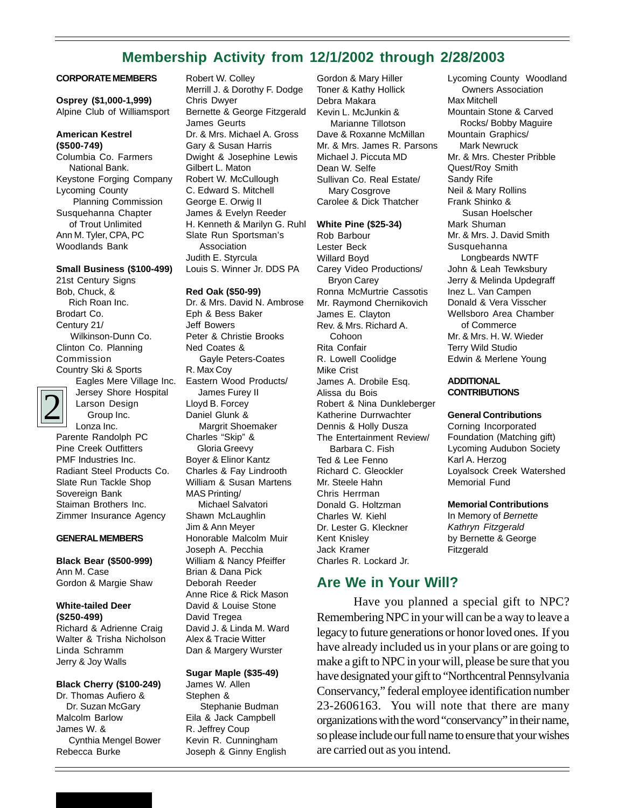### **Membership Activity from 12/1/2002 through 2/28/2003**

#### **CORPORATE MEMBERS**

**Osprey (\$1,000-1,999)** Alpine Club of Williamsport

#### **American Kestrel (\$500-749)**

Columbia Co. Farmers National Bank. Keystone Forging Company Lycoming County Planning Commission Susquehanna Chapter of Trout Unlimited Ann M. Tyler, CPA, PC Woodlands Bank

#### **Small Business (\$100-499)**

21st Century Signs Bob, Chuck, & Rich Roan Inc. Brodart Co. Century 21/ Wilkinson-Dunn Co. Clinton Co. Planning Commission Country Ski & Sports



Eagles Mere Village Inc. Jersey Shore Hospital Larson Design Group Inc. Lonza Inc.

Parente Randolph PC Pine Creek Outfitters PMF Industries Inc. Radiant Steel Products Co. Slate Run Tackle Shop Sovereign Bank Staiman Brothers Inc. Zimmer Insurance Agency

#### **GENERAL MEMBERS**

**Black Bear (\$500-999)** Ann M. Case Gordon & Margie Shaw

**White-tailed Deer (\$250-499)** Richard & Adrienne Craig Walter & Trisha Nicholson Linda Schramm Jerry & Joy Walls

#### **Black Cherry (\$100-249)**

Dr. Thomas Aufiero & Dr. Suzan McGary Malcolm Barlow James W. & Cynthia Mengel Bower Rebecca Burke

Robert W. Colley Merrill J. & Dorothy F. Dodge Chris Dwyer Bernette & George Fitzgerald James Geurts Dr. & Mrs. Michael A. Gross Gary & Susan Harris Dwight & Josephine Lewis Gilbert L. Maton Robert W. McCullough C. Edward S. Mitchell George E. Orwig II James & Evelyn Reeder H. Kenneth & Marilyn G. Ruhl Slate Run Sportsman's Association Judith E. Styrcula Louis S. Winner Jr. DDS PA

#### **Red Oak (\$50-99)**

Dr. & Mrs. David N. Ambrose Eph & Bess Baker Jeff Bowers Peter & Christie Brooks Ned Coates & Gayle Peters-Coates R. Max Coy Eastern Wood Products/ James Furey II Lloyd B. Forcey Daniel Glunk & Margrit Shoemaker Charles "Skip" & Gloria Greevy Boyer & Elinor Kantz Charles & Fay Lindrooth William & Susan Martens MAS Printing/ Michael Salvatori Shawn McLaughlin Jim & Ann Meyer Honorable Malcolm Muir Joseph A. Pecchia William & Nancy Pfeiffer Brian & Dana Pick Deborah Reeder Anne Rice & Rick Mason David & Louise Stone David Tregea David J. & Linda M. Ward Alex & Tracie Witter Dan & Margery Wurster

#### **Sugar Maple (\$35-49)**

James W. Allen Stephen & Stephanie Budman Eila & Jack Campbell R. Jeffrey Coup Kevin R. Cunningham Joseph & Ginny English Gordon & Mary Hiller Toner & Kathy Hollick Debra Makara Kevin L. McJunkin & Marianne Tillotson Dave & Roxanne McMillan Mr. & Mrs. James R. Parsons Michael J. Piccuta MD Dean W. Selfe Sullivan Co. Real Estate/ Mary Cosgrove Carolee & Dick Thatcher

#### **White Pine (\$25-34)**

Rob Barbour Lester Beck Willard Boyd Carey Video Productions/ Bryon Carey Ronna McMurtrie Cassotis Mr. Raymond Chernikovich James E. Clayton Rev. & Mrs. Richard A. Cohoon Rita Confair R. Lowell Coolidge Mike Crist James A. Drobile Esq. Alissa du Bois Robert & Nina Dunkleberger Katherine Durrwachter Dennis & Holly Dusza The Entertainment Review/ Barbara C. Fish Ted & Lee Fenno Richard C. Gleockler Mr. Steele Hahn Chris Herrman Donald G. Holtzman Charles W. Kiehl Dr. Lester G. Kleckner Kent Knisley Jack Kramer Charles R. Lockard Jr.

#### **Are We in Your Will?**

Have you planned a special gift to NPC? Remembering NPC in your will can be a way to leave a legacy to future generations or honor loved ones. If you have already included us in your plans or are going to make a gift to NPC in your will, please be sure that you have designated your gift to "Northcentral Pennsylvania Conservancy," federal employee identification number 23-2606163. You will note that there are many organizations with the word "conservancy" in their name, so please include our full name to ensure that your wishes are carried out as you intend.

Lycoming County Woodland Owners Association Max Mitchell Mountain Stone & Carved Rocks/ Bobby Maguire Mountain Graphics/ Mark Newruck Mr. & Mrs. Chester Pribble Quest/Roy Smith Sandy Rife Neil & Mary Rollins Frank Shinko & Susan Hoelscher Mark Shuman Mr. & Mrs. J. David Smith Susquehanna Longbeards NWTF John & Leah Tewksbury Jerry & Melinda Updegraff Inez L. Van Campen Donald & Vera Visscher Wellsboro Area Chamber of Commerce Mr. & Mrs. H. W. Wieder Terry Wild Studio Edwin & Merlene Young

#### **ADDITIONAL CONTRIBUTIONS**

#### **General Contributions**

Corning Incorporated Foundation (Matching gift) Lycoming Audubon Society Karl A. Herzog Loyalsock Creek Watershed Memorial Fund

#### **Memorial Contributions**

In Memory of *Bernette Kathryn Fitzgerald* by Bernette & George Fitzgerald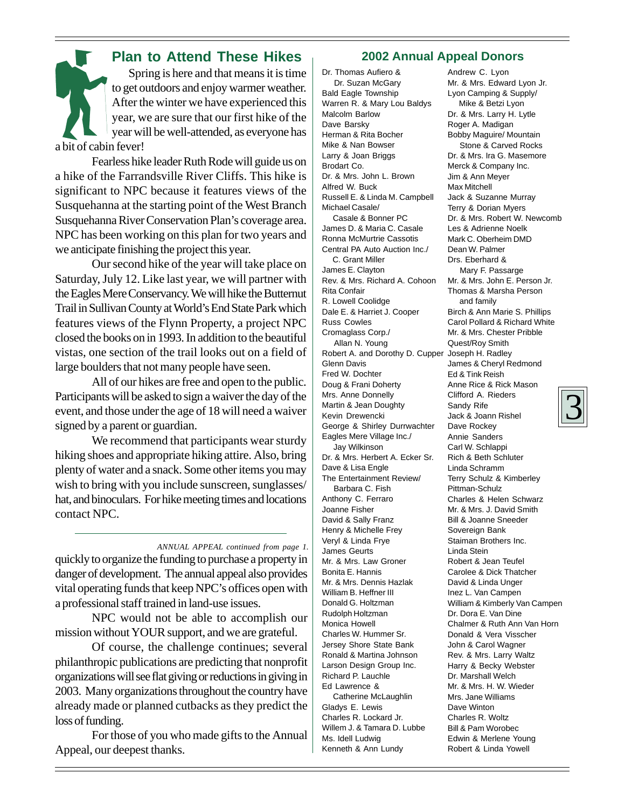### **Plan to Attend These Hikes** Spring is here and that means it is time to get outdoors and enjoy warmer weather. After the winter we have experienced this year, we are sure that our first hike of the year will be well-attended, as everyone has

a bit of cabin fever!

Fearless hike leader Ruth Rode will guide us on a hike of the Farrandsville River Cliffs. This hike is significant to NPC because it features views of the Susquehanna at the starting point of the West Branch Susquehanna River Conservation Plan's coverage area. NPC has been working on this plan for two years and we anticipate finishing the project this year.

Our second hike of the year will take place on Saturday, July 12. Like last year, we will partner with the Eagles Mere Conservancy. We will hike the Butternut Trail in Sullivan County at World's End State Park which features views of the Flynn Property, a project NPC closed the books on in 1993. In addition to the beautiful vistas, one section of the trail looks out on a field of large boulders that not many people have seen.

All of our hikes are free and open to the public. Participants will be asked to sign a waiver the day of the event, and those under the age of 18 will need a waiver signed by a parent or guardian.

We recommend that participants wear sturdy hiking shoes and appropriate hiking attire. Also, bring plenty of water and a snack. Some other items you may wish to bring with you include sunscreen, sunglasses/ hat, and binoculars. For hike meeting times and locations contact NPC.

#### *ANNUAL APPEAL continued from page 1.*

quickly to organize the funding to purchase a property in danger of development. The annual appeal also provides vital operating funds that keep NPC's offices open with a professional staff trained in land-use issues.

NPC would not be able to accomplish our mission without YOUR support, and we are grateful.

Of course, the challenge continues; several philanthropic publications are predicting that nonprofit organizations will see flat giving or reductions in giving in 2003. Many organizations throughout the country have already made or planned cutbacks as they predict the loss of funding.

For those of you who made gifts to the Annual Appeal, our deepest thanks.

#### **2002 Annual Appeal Donors**

Dr. Thomas Aufiero & Dr. Suzan McGary Bald Eagle Township Warren R. & Mary Lou Baldys Malcolm Barlow Dave Barsky Herman & Rita Bocher Mike & Nan Bowser Larry & Joan Briggs Brodart Co. Dr. & Mrs. John L. Brown Alfred W. Buck Russell E. & Linda M. Campbell Michael Casale/ Casale & Bonner PC James D. & Maria C. Casale Ronna McMurtrie Cassotis Central PA Auto Auction Inc./ C. Grant Miller James E. Clayton Rev. & Mrs. Richard A. Cohoon Rita Confair R. Lowell Coolidge Dale E. & Harriet J. Cooper Russ Cowles Cromaglass Corp./ Allan N. Young Robert A. and Dorothy D. Cupper Joseph H. Radley Glenn Davis Fred W. Dochter Doug & Frani Doherty Mrs. Anne Donnelly Martin & Jean Doughty Kevin Drewencki George & Shirley Durrwachter Eagles Mere Village Inc./ Jay Wilkinson Dr. & Mrs. Herbert A. Ecker Sr. Dave & Lisa Engle The Entertainment Review/ Barbara C. Fish Anthony C. Ferraro Joanne Fisher David & Sally Franz Henry & Michelle Frey Veryl & Linda Frye James Geurts Mr. & Mrs. Law Groner Bonita E. Hannis Mr. & Mrs. Dennis Hazlak William B. Heffner III Donald G. Holtzman Rudolph Holtzman Monica Howell Charles W. Hummer Sr. Jersey Shore State Bank Ronald & Martina Johnson Larson Design Group Inc. Richard P. Lauchle Ed Lawrence & Catherine McLaughlin Gladys E. Lewis Charles R. Lockard Jr. Willem J. & Tamara D. Lubbe Ms. Idell Ludwig Kenneth & Ann Lundy

Andrew C. Lyon Mr. & Mrs. Edward Lyon Jr. Lyon Camping & Supply/ Mike & Betzi Lyon Dr. & Mrs. Larry H. Lytle Roger A. Madigan Bobby Maguire/ Mountain Stone & Carved Rocks Dr. & Mrs. Ira G. Masemore Merck & Company Inc. Jim & Ann Meyer Max Mitchell Jack & Suzanne Murray Terry & Dorian Myers Dr. & Mrs. Robert W. Newcomb Les & Adrienne Noelk Mark C. Oberheim DMD Dean W. Palmer Drs. Eberhard & Mary F. Passarge Mr. & Mrs. John E. Person Jr. Thomas & Marsha Person and family Birch & Ann Marie S. Phillips Carol Pollard & Richard White Mr. & Mrs. Chester Pribble Quest/Roy Smith James & Cheryl Redmond Ed & Tink Reish Anne Rice & Rick Mason Clifford A. Rieders Sandy Rife Jack & Joann Rishel Dave Rockey Annie Sanders Carl W. Schlappi Rich & Beth Schluter Linda Schramm Terry Schulz & Kimberley Pittman-Schulz Charles & Helen Schwarz Mr. & Mrs. J. David Smith Bill & Joanne Sneeder Sovereign Bank Staiman Brothers Inc. Linda Stein Robert & Jean Teufel Carolee & Dick Thatcher David & Linda Unger Inez L. Van Campen William & Kimberly Van Campen Dr. Dora E. Van Dine Chalmer & Ruth Ann Van Horn Donald & Vera Visscher John & Carol Wagner Rev. & Mrs. Larry Waltz Harry & Becky Webster Dr. Marshall Welch Mr. & Mrs. H. W. Wieder Mrs. Jane Williams Dave Winton Charles R. Woltz Bill & Pam Worobec Edwin & Merlene Young Robert & Linda Yowell

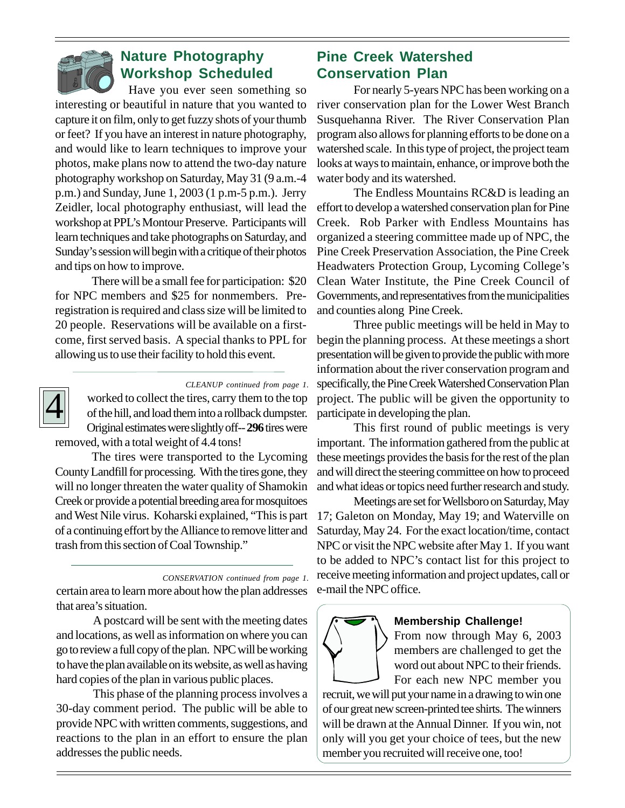

### **Nature Photography Workshop Scheduled**

Have you ever seen something so interesting or beautiful in nature that you wanted to capture it on film, only to get fuzzy shots of your thumb or feet? If you have an interest in nature photography, and would like to learn techniques to improve your photos, make plans now to attend the two-day nature photography workshop on Saturday, May 31 (9 a.m.-4 p.m.) and Sunday, June 1, 2003 (1 p.m-5 p.m.). Jerry Zeidler, local photography enthusiast, will lead the workshop at PPL's Montour Preserve. Participants will learn techniques and take photographs on Saturday, and Sunday's session will begin with a critique of their photos and tips on how to improve.

There will be a small fee for participation: \$20 for NPC members and \$25 for nonmembers. Preregistration is required and class size will be limited to 20 people. Reservations will be available on a firstcome, first served basis. A special thanks to PPL for allowing us to use their facility to hold this event.



#### *CLEANUP continued from page 1.*

worked to collect the tires, carry them to the top of the hill, and load them into a rollback dumpster. Original estimates were slightly off-- **296** tires were removed, with a total weight of 4.4 tons!

The tires were transported to the Lycoming County Landfill for processing. With the tires gone, they will no longer threaten the water quality of Shamokin Creek or provide a potential breeding area for mosquitoes and West Nile virus. Koharski explained, "This is part of a continuing effort by the Alliance to remove litter and trash from this section of Coal Township."

*CONSERVATION continued from page 1.*

certain area to learn more about how the plan addresses that area's situation.

A postcard will be sent with the meeting dates and locations, as well as information on where you can go to review a full copy of the plan. NPC will be working to have the plan available on its website, as well as having hard copies of the plan in various public places.

This phase of the planning process involves a 30-day comment period. The public will be able to provide NPC with written comments, suggestions, and reactions to the plan in an effort to ensure the plan addresses the public needs.

### **Pine Creek Watershed Conservation Plan**

For nearly 5-years NPC has been working on a river conservation plan for the Lower West Branch Susquehanna River. The River Conservation Plan program also allows for planning efforts to be done on a watershed scale. In this type of project, the project team looks at ways to maintain, enhance, or improve both the water body and its watershed.

The Endless Mountains RC&D is leading an effort to develop a watershed conservation plan for Pine Creek. Rob Parker with Endless Mountains has organized a steering committee made up of NPC, the Pine Creek Preservation Association, the Pine Creek Headwaters Protection Group, Lycoming College's Clean Water Institute, the Pine Creek Council of Governments, and representatives from the municipalities and counties along Pine Creek.

Three public meetings will be held in May to begin the planning process. At these meetings a short presentation will be given to provide the public with more information about the river conservation program and specifically, the Pine Creek Watershed Conservation Plan project. The public will be given the opportunity to participate in developing the plan.

This first round of public meetings is very important. The information gathered from the public at these meetings provides the basis for the rest of the plan and will direct the steering committee on how to proceed and what ideas or topics need further research and study.

Meetings are set for Wellsboro on Saturday, May 17; Galeton on Monday, May 19; and Waterville on Saturday, May 24. For the exact location/time, contact NPC or visit the NPC website after May 1. If you want to be added to NPC's contact list for this project to receive meeting information and project updates, call or e-mail the NPC office.



#### **Membership Challenge!**

From now through May 6, 2003 members are challenged to get the word out about NPC to their friends. For each new NPC member you

recruit, we will put your name in a drawing to win one of our great new screen-printed tee shirts. The winners will be drawn at the Annual Dinner. If you win, not only will you get your choice of tees, but the new member you recruited will receive one, too!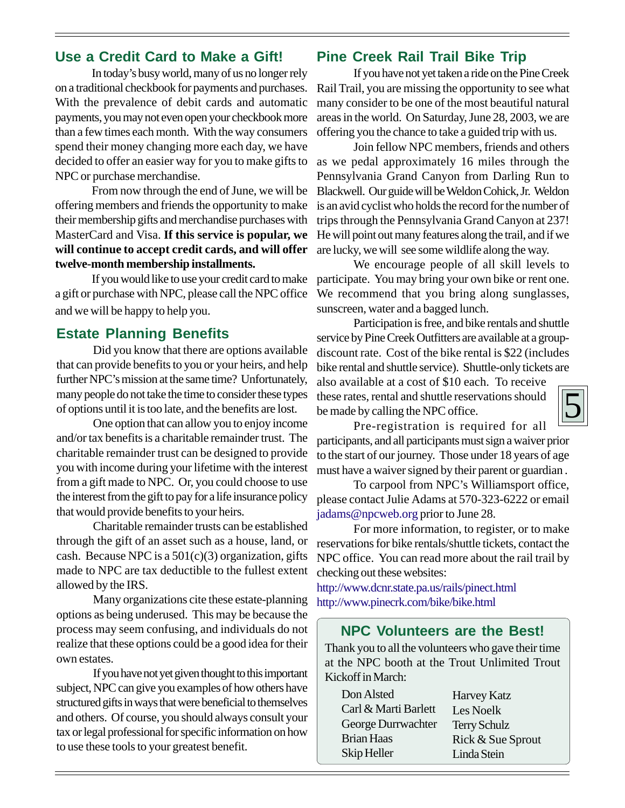### **Use a Credit Card to Make a Gift!**

In today's busy world, many of us no longer rely on a traditional checkbook for payments and purchases. With the prevalence of debit cards and automatic payments, you may not even open your checkbook more than a few times each month. With the way consumers spend their money changing more each day, we have decided to offer an easier way for you to make gifts to NPC or purchase merchandise.

From now through the end of June, we will be offering members and friends the opportunity to make their membership gifts and merchandise purchases with MasterCard and Visa. **If this service is popular, we will continue to accept credit cards, and will offer twelve-month membership installments.**

If you would like to use your credit card to make a gift or purchase with NPC, please call the NPC office and we will be happy to help you.

### **Estate Planning Benefits**

Did you know that there are options available that can provide benefits to you or your heirs, and help further NPC's mission at the same time? Unfortunately, many people do not take the time to consider these types of options until it is too late, and the benefits are lost.

One option that can allow you to enjoy income and/or tax benefits is a charitable remainder trust. The charitable remainder trust can be designed to provide you with income during your lifetime with the interest from a gift made to NPC. Or, you could choose to use the interest from the gift to pay for a life insurance policy that would provide benefits to your heirs.

Charitable remainder trusts can be established through the gift of an asset such as a house, land, or cash. Because NPC is a  $501(c)(3)$  organization, gifts made to NPC are tax deductible to the fullest extent allowed by the IRS.

Many organizations cite these estate-planning options as being underused. This may be because the process may seem confusing, and individuals do not realize that these options could be a good idea for their own estates.

If you have not yet given thought to this important subject, NPC can give you examples of how others have structured gifts in ways that were beneficial to themselves and others. Of course, you should always consult your tax or legal professional for specific information on how to use these tools to your greatest benefit.

### **Pine Creek Rail Trail Bike Trip**

If you have not yet taken a ride on the Pine Creek Rail Trail, you are missing the opportunity to see what many consider to be one of the most beautiful natural areas in the world. On Saturday, June 28, 2003, we are offering you the chance to take a guided trip with us.

Join fellow NPC members, friends and others as we pedal approximately 16 miles through the Pennsylvania Grand Canyon from Darling Run to Blackwell. Our guide will be Weldon Cohick, Jr. Weldon is an avid cyclist who holds the record for the number of trips through the Pennsylvania Grand Canyon at 237! He will point out many features along the trail, and if we are lucky, we will see some wildlife along the way.

We encourage people of all skill levels to participate. You may bring your own bike or rent one. We recommend that you bring along sunglasses, sunscreen, water and a bagged lunch.

Participation is free, and bike rentals and shuttle service by Pine Creek Outfitters are available at a groupdiscount rate. Cost of the bike rental is \$22 (includes bike rental and shuttle service). Shuttle-only tickets are also available at a cost of \$10 each. To receive

these rates, rental and shuttle reservations should be made by calling the NPC office.



Pre-registration is required for all participants, and all participants must sign a waiver prior to the start of our journey. Those under 18 years of age must have a waiver signed by their parent or guardian .

To carpool from NPC's Williamsport office, please contact Julie Adams at 570-323-6222 or email jadams@npcweb.org prior to June 28.

For more information, to register, or to make reservations for bike rentals/shuttle tickets, contact the NPC office. You can read more about the rail trail by checking out these websites:

http://www.dcnr.state.pa.us/rails/pinect.html http://www.pinecrk.com/bike/bike.html

### **NPC Volunteers are the Best!**

Thank you to all the volunteers who gave their time at the NPC booth at the Trout Unlimited Trout Kickoff in March:

| Don Alsted           | <b>Harvey Katz</b>  |
|----------------------|---------------------|
| Carl & Marti Barlett | Les Noelk           |
| George Durrwachter   | <b>Terry Schulz</b> |
| <b>Brian Haas</b>    | Rick & Sue Sprout   |
| Skip Heller          | Linda Stein         |